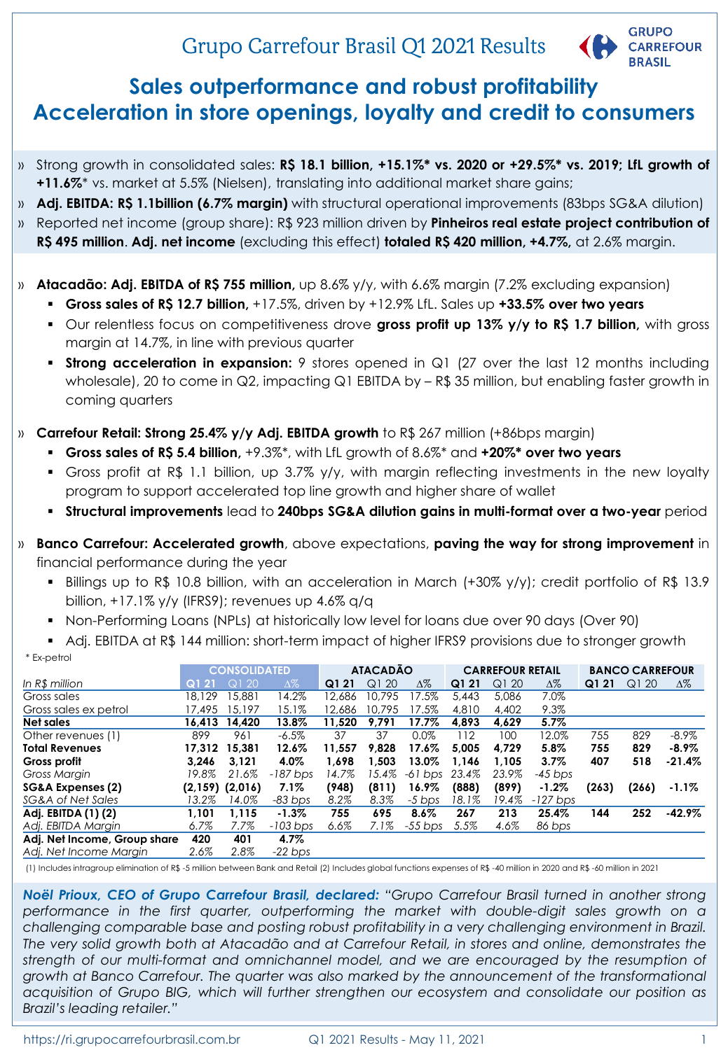# Grupo Carrefour Brasil Q1 2021 Results



# **Sales outperformance and robust profitability Acceleration in store openings, loyalty and credit to consumers**

- » Strong growth in consolidated sales: **R\$ 18.1 billion, +15.1%\* vs. 2020 or +29.5%\* vs. 2019; LfL growth of +11.6%**\* vs. market at 5.5% (Nielsen), translating into additional market share gains;
- » **Adj. EBITDA: R\$ 1.1billion (6.7% margin)** with structural operational improvements (83bps SG&A dilution)
- » Reported net income (group share): R\$ 923 million driven by **Pinheiros real estate project contribution of R\$ 495 million**. **Adj. net income** (excluding this effect) **totaled R\$ 420 million, +4.7%,** at 2.6% margin.
- » **Atacadão: Adj. EBITDA of R\$ 755 million,** up 8.6% y/y, with 6.6% margin (7.2% excluding expansion)
	- **Gross sales of R\$ 12.7 billion,** +17.5%, driven by +12.9% LfL. Sales up **+33.5% over two years**
	- Our relentless focus on competitiveness drove **gross profit up 13% y/y to R\$ 1.7 billion,** with gross margin at 14.7%, in line with previous quarter
	- **Strong acceleration in expansion:** 9 stores opened in Q1 (27 over the last 12 months including wholesale), 20 to come in Q2, impacting Q1 EBITDA by - R\$ 35 million, but enabling faster growth in coming quarters
- » **Carrefour Retail: Strong 25.4% y/y Adj. EBITDA growth** to R\$ 267 million (+86bps margin)
	- **Gross sales of R\$ 5.4 billion,** +9.3%\*, with LfL growth of 8.6%\* and **+20%\* over two years**
	- Gross profit at R\$ 1.1 billion, up 3.7% y/y, with margin reflecting investments in the new loyalty program to support accelerated top line growth and higher share of wallet
	- **Structural improvements** lead to **240bps SG&A dilution gains in multi-format over a two-year** period
- » **Banco Carrefour: Accelerated growth**, above expectations, **paving the way for strong improvement** in financial performance during the year
	- Billings up to R\$ 10.8 billion, with an acceleration in March (+30% y/y); credit portfolio of R\$ 13.9 billion, +17.1% y/y (IFRS9); revenues up 4.6% q/q
	- Non-Performing Loans (NPLs) at historically low level for loans due over 90 days (Over 90)
	- Adj. EBITDA at R\$ 144 million: short-term impact of higher IFRS9 provisions due to stronger growth
	- \* Ex-petrol

|                              |        | <b>CONSOLIDATED</b> |            |        | <b>ATACADÃO</b> |            |       | <b>CARREFOUR RETAIL</b> |            |       | <b>BANCO CARREFOUR</b> |            |
|------------------------------|--------|---------------------|------------|--------|-----------------|------------|-------|-------------------------|------------|-------|------------------------|------------|
| In R\$ million               | Q121   | Q120                | $\Delta\%$ | Q121   | Q120            | $\Delta\%$ | Q121  | Q120                    | $\Delta\%$ | Q121  | Q120                   | $\Delta\%$ |
| Gross sales                  | 18.129 | 15,881              | 14.2%      | 12.686 | 10.795          | 17.5%      | 5.443 | 5.086                   | 7.0%       |       |                        |            |
| Gross sales ex petrol        | 17.495 | 15.197              | 15.1%      | 12.686 | 10.795          | 17.5%      | 4,810 | 4.402                   | 9.3%       |       |                        |            |
| Net sales                    | 16.413 | 14.420              | 13.8%      | 11.520 | 9.791           | 17.7%      | 4.893 | 4.629                   | $5.7\%$    |       |                        |            |
| Other revenues (1)           | 899    | 961                 | $-6.5\%$   | 37     | 37              | $0.0\%$    | 112   | 100                     | 12.0%      | 755   | 829                    | $-8.9\%$   |
| <b>Total Revenues</b>        | 17.312 | 15,381              | 12.6%      | 11.557 | 9.828           | 17.6%      | 5.005 | 4.729                   | 5.8%       | 755   | 829                    | $-8.9\%$   |
| Gross profit                 | 3.246  | 3.121               | 4.0%       | 1.698  | 1.503           | 13.0%      | 1.146 | 1.105                   | $3.7\%$    | 407   | 518                    | $-21.4%$   |
| Gross Margin                 | 19.8%  | 21.6%               | $-187$ bps | 14.7%  | 15.4%           | $-61$ bps  | 23.4% | 23.9%                   | $-45$ bps  |       |                        |            |
| SG&A Expenses (2)            |        | $(2,159)$ $(2,016)$ | $7.1\%$    | (948)  | (811)           | 16.9%      | (888) | (899)                   | $-1.2\%$   | (263) | (266)                  | $-1.1\%$   |
| SG&A of Net Sales            | 13.2%  | 14.0%               | $-83$ bps  | 8.2%   | 8.3%            | $-5$ bps   | 18.1% | 19.4%                   | $-127$ bps |       |                        |            |
| Adj. EBITDA (1) (2)          | 1.101  | 1.115               | $-1.3\%$   | 755    | 695             | $8.6\%$    | 267   | 213                     | 25.4%      | 144   | 252                    | $-42.9\%$  |
| Adi, EBITDA Margin           | 6.7%   | 7.7%                | $-103$ bps | 6.6%   | 7.1%            | $-55$ bps  | 5.5%  | 4.6%                    | 86 bps     |       |                        |            |
| Adj. Net Income, Group share | 420    | 401                 | 4.7%       |        |                 |            |       |                         |            |       |                        |            |
| Adi. Net Income Margin       | 2.6%   | 2.8%                | $-22$ bps  |        |                 |            |       |                         |            |       |                        |            |

(1) Includes intragroup elimination of R\$ -5 million between Bank and Retail (2) Includes global functions expenses of R\$ -40 million in 2020 and R\$ -60 million in 2021

*Noël Prioux, CEO of Grupo Carrefour Brasil, declared: "Grupo Carrefour Brasil turned in another strong performance in the first quarter, outperforming the market with double-digit sales growth on a challenging comparable base and posting robust profitability in a very challenging environment in Brazil. The very solid growth both at Atacadão and at Carrefour Retail, in stores and online, demonstrates the strength of our multi-format and omnichannel model, and we are encouraged by the resumption of growth at Banco Carrefour. The quarter was also marked by the announcement of the transformational acquisition of Grupo BIG, which will further strengthen our ecosystem and consolidate our position as Brazil's leading retailer."*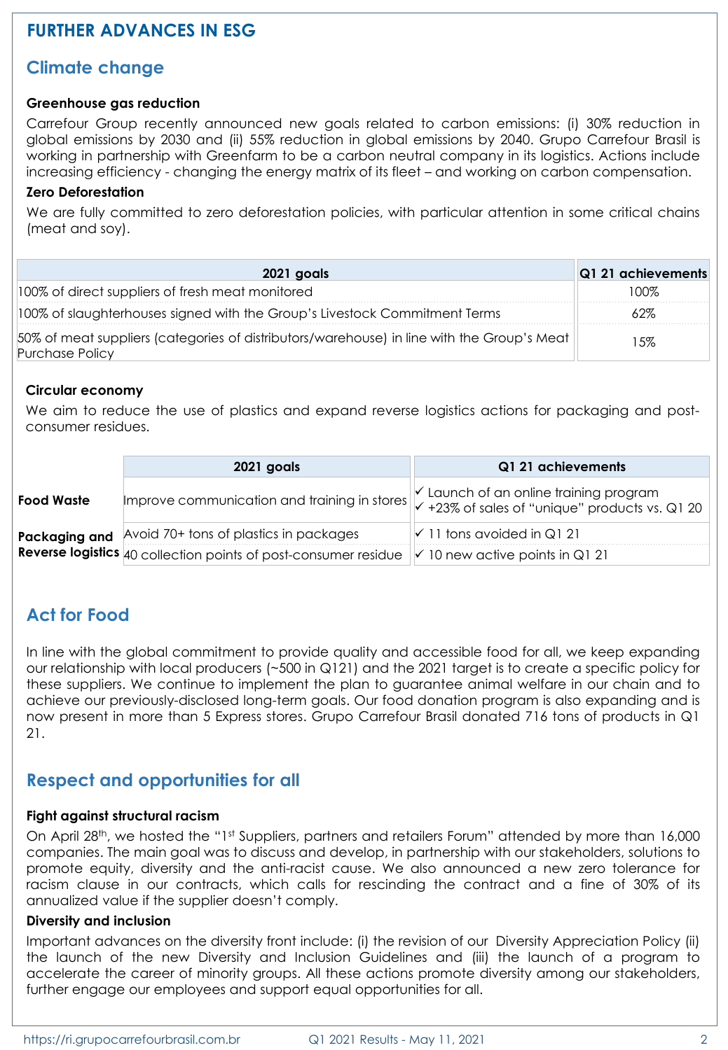# **FURTHER ADVANCES IN ESG**

#### **Climate change**

#### **Greenhouse gas reduction**

Carrefour Group recently announced new goals related to carbon emissions: (i) 30% reduction in global emissions by 2030 and (ii) 55% reduction in global emissions by 2040. Grupo Carrefour Brasil is working in partnership with Greenfarm to be a carbon neutral company in its logistics. Actions include increasing efficiency - changing the energy matrix of its fleet – and working on carbon compensation.

#### **Zero Deforestation**

We are fully committed to zero deforestation policies, with particular attention in some critical chains (meat and soy).

| 2021 goals                                                                                                    | Q1 21 achievements |
|---------------------------------------------------------------------------------------------------------------|--------------------|
| 100% of direct suppliers of fresh meat monitored                                                              | I UU Y             |
| 100% of slaughterhouses signed with the Group's Livestock Commitment Terms                                    |                    |
| 50% of meat suppliers (categories of distributors/warehouse) in line with the Group's Meat<br>Purchase Policy | l 5%               |

#### **Circular economy**

We aim to reduce the use of plastics and expand reverse logistics actions for packaging and postconsumer residues.

|            | 2021 goals                                                                                                | Q1 21 achievements                                                                                                                                               |
|------------|-----------------------------------------------------------------------------------------------------------|------------------------------------------------------------------------------------------------------------------------------------------------------------------|
| Food Waste |                                                                                                           | $\vee$ Launch of an online training program<br>Improve communication and training in stores $\left\Vert \checkmark$ +23% of sales of "unique" products vs. Q1 20 |
|            | Packaging and Avoid 70+ tons of plastics in packages                                                      | $\sqrt{11}$ tons avoided in Q121                                                                                                                                 |
|            | <b>Reverse logistics</b> 40 collection points of post-consumer residue $\ $ 10 new active points in Q1 21 |                                                                                                                                                                  |

### **Act for Food**

In line with the global commitment to provide quality and accessible food for all, we keep expanding our relationship with local producers (~500 in Q121) and the 2021 target is to create a specific policy for these suppliers. We continue to implement the plan to guarantee animal welfare in our chain and to achieve our previously-disclosed long-term goals. Our food donation program is also expanding and is now present in more than 5 Express stores. Grupo Carrefour Brasil donated 716 tons of products in Q1 21.

#### **Respect and opportunities for all**

#### **Fight against structural racism**

On April 28<sup>th</sup>, we hosted the "1<sup>st</sup> Suppliers, partners and retailers Forum" attended by more than 16,000 companies. The main goal was to discuss and develop, in partnership with our stakeholders, solutions to promote equity, diversity and the anti-racist cause. We also announced a new zero tolerance for racism clause in our contracts, which calls for rescinding the contract and a fine of 30% of its annualized value if the supplier doesn't comply.

#### **Diversity and inclusion**

Important advances on the diversity front include: (i) the revision of our Diversity Appreciation Policy (ii) the launch of the new Diversity and Inclusion Guidelines and (iii) the launch of a program to accelerate the career of minority groups. All these actions promote diversity among our stakeholders, further engage our employees and support equal opportunities for all.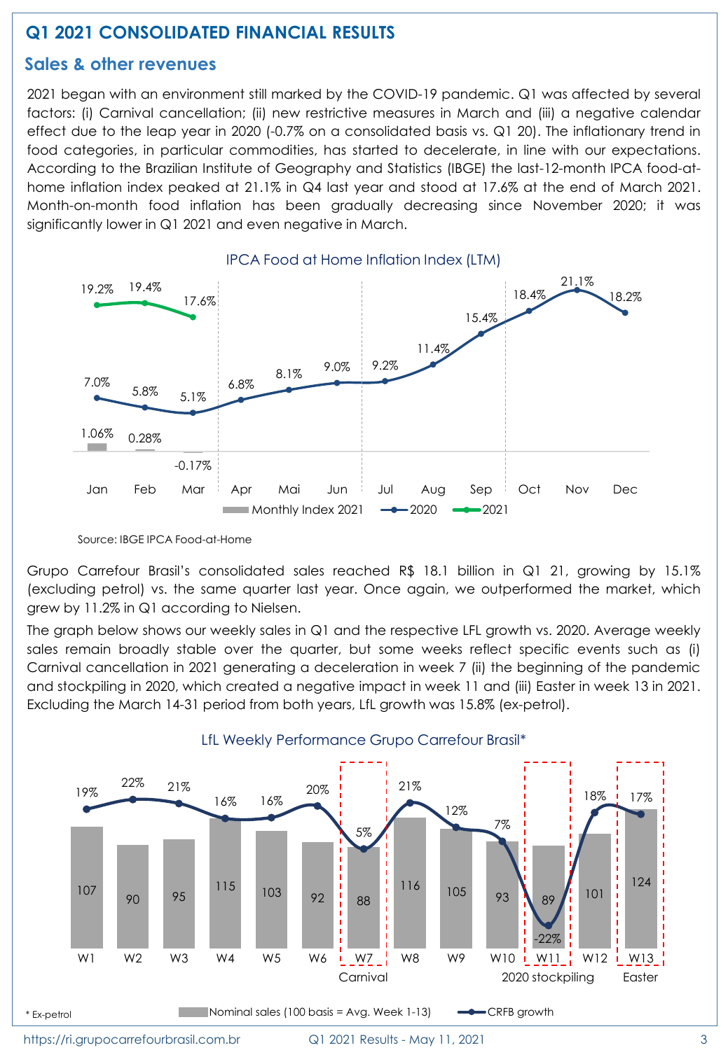# **Q1 2021 CONSOLIDATED FINANCIAL RESULTS**

#### **Sales & other revenues**

2021 began with an environment still marked by the COVID-19 pandemic. Q1 was affected by several factors: (i) Carnival cancellation; (ii) new restrictive measures in March and (iii) a negative calendar effect due to the leap year in 2020 (-0.7% on a consolidated basis vs. Q1 20). The inflationary trend in food categories, in particular commodities, has started to decelerate, in line with our expectations. According to the Brazilian Institute of Geography and Statistics (IBGE) the last-12-month IPCA food-athome inflation index peaked at 21.1% in Q4 last year and stood at 17.6% at the end of March 2021. Month-on-month food inflation has been gradually decreasing since November 2020; it was significantly lower in Q1 2021 and even negative in March.



IPCA Food at Home Inflation Index (LTM)

Source: IBGE IPCA Food-at-Home

Grupo Carrefour Brasil's consolidated sales reached R\$ 18.1 billion in Q1 21, growing by 15.1% (excluding petrol) vs. the same quarter last year. Once again, we outperformed the market, which grew by 11.2% in Q1 according to Nielsen.

The graph below shows our weekly sales in Q1 and the respective LFL growth vs. 2020. Average weekly sales remain broadly stable over the quarter, but some weeks reflect specific events such as (i) Carnival cancellation in 2021 generating a deceleration in week 7 (ii) the beginning of the pandemic and stockpiling in 2020, which created a negative impact in week 11 and (iii) Easter in week 13 in 2021. Excluding the March 14-31 period from both years, LfL growth was 15.8% (ex-petrol).

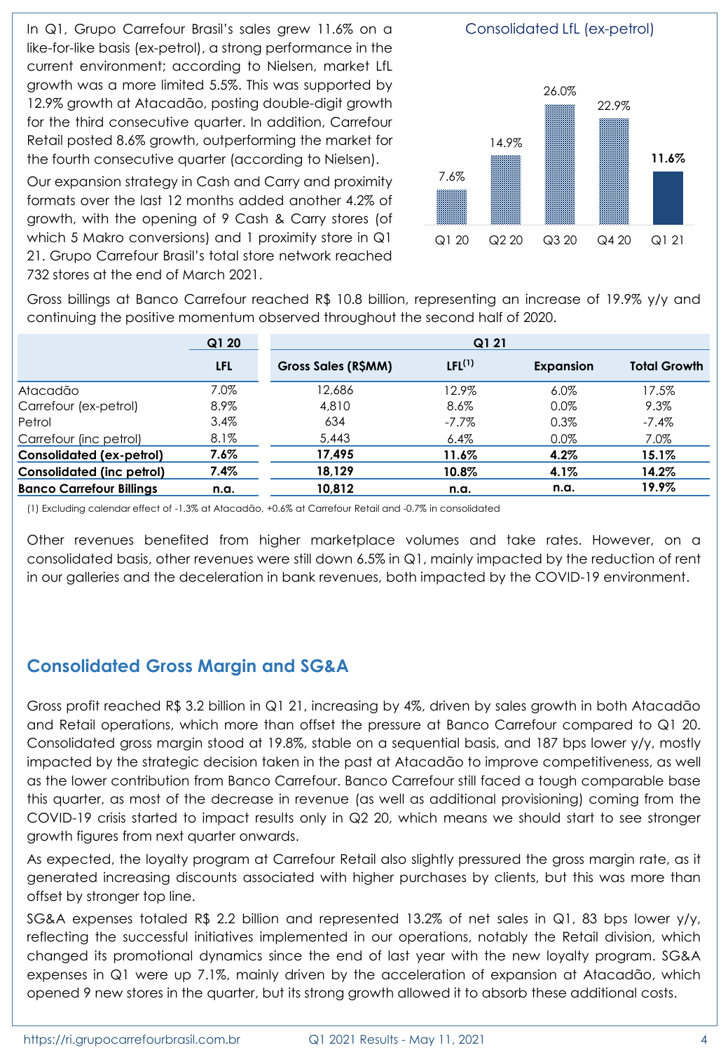In Q1, Grupo Carrefour Brasil's sales grew 11.6% on a like-for-like basis (ex-petrol), a strong performance in the current environment; according to Nielsen, market LfL growth was a more limited 5.5%. This was supported by 12.9% growth at Atacadão, posting double-digit growth for the third consecutive quarter. In addition, Carrefour Retail posted 8.6% growth, outperforming the market for the fourth consecutive quarter (according to Nielsen).

Our expansion strategy in Cash and Carry and proximity formats over the last 12 months added another 4.2% of growth, with the opening of 9 Cash & Carry stores (of which 5 Makro conversions) and 1 proximity store in Q1 21. Grupo Carrefour Brasil's total store network reached 732 stores at the end of March 2021.



Gross billings at Banco Carrefour reached R\$ 10.8 billion, representing an increase of 19.9% y/y and continuing the positive momentum observed throughout the second half of 2020.

|                                  | Q1 20      | Q1 21              |                    |                  |                     |  |
|----------------------------------|------------|--------------------|--------------------|------------------|---------------------|--|
|                                  | <b>LFL</b> | Gross Sales (RSMM) | IFI <sup>(1)</sup> | <b>Expansion</b> | <b>Total Growth</b> |  |
| Atacadão                         | 7.0%       | 12.686             | 12.9%              | $6.0\%$          | 17.5%               |  |
| Carrefour (ex-petrol)            | 8.9%       | 4,810              | 8.6%               | 0.0%             | 9.3%                |  |
| Petrol                           | 3.4%       | 634                | $-7.7\%$           | 0.3%             | $-7.4\%$            |  |
| Carrefour (inc petrol)           | $8.1\%$    | 5,443              | 6.4%               | 0.0%             | 7.0%                |  |
| <b>Consolidated (ex-petrol)</b>  | $7.6\%$    | 17.495             | 11.6%              | $4.2\%$          | 15.1%               |  |
| <b>Consolidated (inc petrol)</b> | 7.4%       | 18,129             | 10.8%              | 4.1%             | 14.2%               |  |
| <b>Banco Carrefour Billings</b>  | n.a.       | 10,812             | n.a.               | n.a.             | 19.9%               |  |

(1) Excluding calendar effect of -1.3% at Atacadão, +0.6% at Carrefour Retail and -0.7% in consolidated

Other revenues benefited from higher marketplace volumes and take rates. However, on a consolidated basis, other revenues were still down 6.5% in Q1, mainly impacted by the reduction of rent in our galleries and the deceleration in bank revenues, both impacted by the COVID-19 environment.

# **Consolidated Gross Margin and SG&A**

Gross profit reached R\$ 3.2 billion in Q1 21, increasing by 4%, driven by sales growth in both Atacadão and Retail operations, which more than offset the pressure at Banco Carrefour compared to Q1 20. Consolidated gross margin stood at 19.8%, stable on a sequential basis, and 187 bps lower y/y, mostly impacted by the strategic decision taken in the past at Atacadão to improve competitiveness, as well as the lower contribution from Banco Carrefour. Banco Carrefour still faced a tough comparable base this quarter, as most of the decrease in revenue (as well as additional provisioning) coming from the COVID-19 crisis started to impact results only in Q2 20, which means we should start to see stronger growth figures from next quarter onwards.

As expected, the loyalty program at Carrefour Retail also slightly pressured the gross margin rate, as it generated increasing discounts associated with higher purchases by clients, but this was more than offset by stronger top line.

SG&A expenses totaled R\$ 2.2 billion and represented 13.2% of net sales in Q1, 83 bps lower y/y, reflecting the successful initiatives implemented in our operations, notably the Retail division, which changed its promotional dynamics since the end of last year with the new loyalty program. SG&A expenses in Q1 were up 7.1%, mainly driven by the acceleration of expansion at Atacadão, which opened 9 new stores in the quarter, but its strong growth allowed it to absorb these additional costs.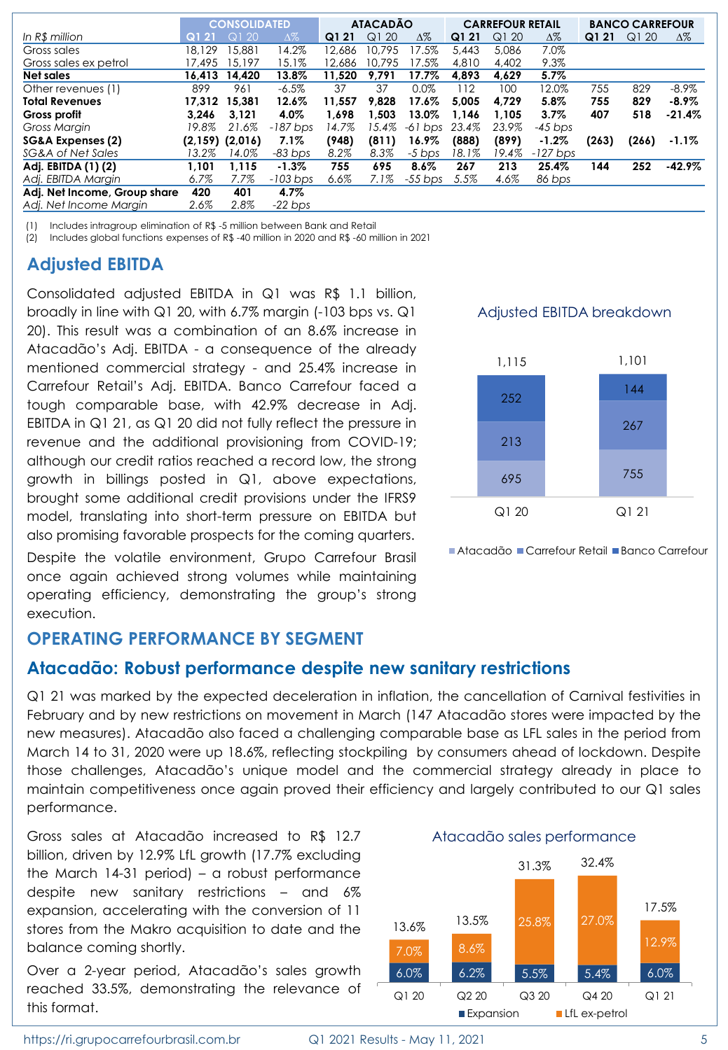|                              |        | <b>CONSOLIDATED</b> |            |        | <b>ATACADÃO</b> |            |       | <b>CARREFOUR RETAIL</b> |            |       | <b>BANCO CARREFOUR</b> |            |
|------------------------------|--------|---------------------|------------|--------|-----------------|------------|-------|-------------------------|------------|-------|------------------------|------------|
| In R\$ million               | Q121   | Q120                | $\Delta\%$ | Q121   | Q120            | $\Delta\%$ | Q1 21 | Q120                    | Δ%         | Q1 21 | Q120                   | $\Delta\%$ |
| Gross sales                  | 18.129 | 15.881              | 14.2%      | 12.686 | 10.795          | 17.5%      | 5.443 | 5.086                   | 7.0%       |       |                        |            |
| Gross sales ex petrol        | 17.495 | 15.197              | 15.1%      | 12.686 | 10.795          | 17.5%      | 4,810 | 4.402                   | 9.3%       |       |                        |            |
| Net sales                    | 16.413 | 14.420              | 13.8%      | 11.520 | 9.791           | 17.7%      | 4.893 | 4.629                   | 5.7%       |       |                        |            |
| Other revenues (1)           | 899    | 961                 | $-6.5%$    | 37     | 37              | $0.0\%$    | 112   | 100                     | 12.0%      | 755   | 829                    | $-8.9\%$   |
| <b>Total Revenues</b>        | 17.312 | 15,381              | 12.6%      | 11.557 | 9.828           | 17.6%      | 5.005 | 4.729                   | 5.8%       | 755   | 829                    | $-8.9\%$   |
| Gross profit                 | 3.246  | 3.121               | 4.0%       | 1.698  | 1.503           | 13.0%      | 1.146 | 1.105                   | $3.7\%$    | 407   | 518                    | $-21.4\%$  |
| Gross Margin                 | 19.8%  | 21.6%               | $-187$ bps | 14.7%  | 15.4%           | $-61$ bps  | 23.4% | 23.9%                   | $-45$ bps  |       |                        |            |
| SG&A Expenses (2)            |        | $(2,159)$ $(2,016)$ | $7.1\%$    | (948)  | (811)           | 16.9%      | (888) | (899)                   | $-1.2\%$   | (263) | (266)                  | $-1.1\%$   |
| SG&A of Net Sales            | 13.2%  | 14.0%               | $-83$ bps  | 8.2%   | 8.3%            | $-5$ bps   | 18.1% | 19.4%                   | $-127$ bps |       |                        |            |
| Adj. EBITDA (1) (2)          | 1.101  | 1.115               | $-1.3\%$   | 755    | 695             | $8.6\%$    | 267   | 213                     | 25.4%      | 144   | 252                    | $-42.9\%$  |
| Adi. EBITDA Margin           | 6.7%   | 7.7%                | $-103$ bps | 6.6%   | 7.1%            | $-55$ bps  | 5.5%  | 4.6%                    | 86 bps     |       |                        |            |
| Adj. Net Income, Group share | 420    | 401                 | 4.7%       |        |                 |            |       |                         |            |       |                        |            |
| Adi. Net Income Margin       | 2.6%   | 2.8%                | $-22$ bps  |        |                 |            |       |                         |            |       |                        |            |

(1) Includes intragroup elimination of R\$ -5 million between Bank and Retail

(2) Includes global functions expenses of R\$ -40 million in 2020 and R\$ -60 million in 2021

### **Adjusted EBITDA**

Consolidated adjusted EBITDA in Q1 was R\$ 1.1 billion, broadly in line with Q1 20, with 6.7% margin (-103 bps vs. Q1 20). This result was a combination of an 8.6% increase in Atacadão's Adj. EBITDA - a consequence of the already mentioned commercial strategy - and 25.4% increase in Carrefour Retail's Adj. EBITDA. Banco Carrefour faced a tough comparable base, with 42.9% decrease in Adj. EBITDA in Q1 21, as Q1 20 did not fully reflect the pressure in revenue and the additional provisioning from COVID-19; although our credit ratios reached a record low, the strong growth in billings posted in Q1, above expectations, brought some additional credit provisions under the IFRS9 model, translating into short-term pressure on EBITDA but also promising favorable prospects for the coming quarters.

Despite the volatile environment, Grupo Carrefour Brasil once again achieved strong volumes while maintaining operating efficiency, demonstrating the group's strong execution.

#### **OPERATING PERFORMANCE BY SEGMENT**

#### **Atacadão: Robust performance despite new sanitary restrictions**

Q1 21 was marked by the expected deceleration in inflation, the cancellation of Carnival festivities in February and by new restrictions on movement in March (147 Atacadão stores were impacted by the new measures). Atacadão also faced a challenging comparable base as LFL sales in the period from March 14 to 31, 2020 were up 18.6%, reflecting stockpiling by consumers ahead of lockdown. Despite those challenges, Atacadão's unique model and the commercial strategy already in place to maintain competitiveness once again proved their efficiency and largely contributed to our Q1 sales performance.

Gross sales at Atacadão increased to R\$ 12.7 billion, driven by 12.9% LfL growth (17.7% excluding the March 14-31 period) – a robust performance despite new sanitary restrictions – and 6% expansion, accelerating with the conversion of 11 stores from the Makro acquisition to date and the balance coming shortly.

Over a 2-year period, Atacadão's sales growth reached 33.5%, demonstrating the relevance of this format.

Adjusted EBITDA breakdown



■ Atacadão ■ Carrefour Retail ■ Banco Carrefour

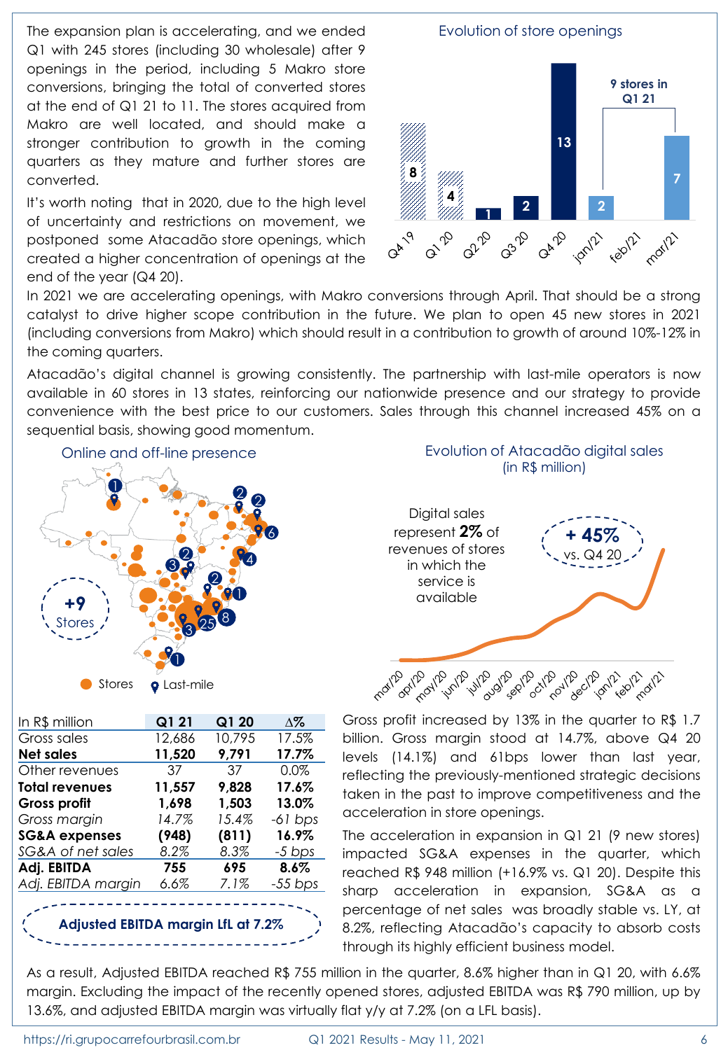The expansion plan is accelerating, and we ended Q1 with 245 stores (including 30 wholesale) after 9 openings in the period, including 5 Makro store conversions, bringing the total of converted stores at the end of Q1 21 to 11. The stores acquired from Makro are well located, and should make a stronger contribution to growth in the coming quarters as they mature and further stores are converted.

It's worth noting that in 2020, due to the high level of uncertainty and restrictions on movement, we postponed some Atacadão store openings, which created a higher concentration of openings at the end of the year (Q4 20).



In 2021 we are accelerating openings, with Makro conversions through April. That should be a strong catalyst to drive higher scope contribution in the future. We plan to open 45 new stores in 2021 (including conversions from Makro) which should result in a contribution to growth of around 10%-12% in the coming quarters.

Atacadão's digital channel is growing consistently. The partnership with last-mile operators is now available in 60 stores in 13 states, reinforcing our nationwide presence and our strategy to provide convenience with the best price to our customers. Sales through this channel increased 45% on a sequential basis, showing good momentum.



In R\$ million **Q1 21 Q1 20 ∆%**  Gross sales 12,686 10,795 17.5% **Net sales 11,520 9,791 17.7%** Other revenues 37 37 0.0% **Total revenues 11,557 9,828 17.6% Gross profit 1,698 1,503 13.0%** *Gross margin 14.7% 15.4% -61 bps* **SG&A expenses (948) (811) 16.9%** *SG&A of net sales 8.2% 8.3% -5 bps* **Adj. EBITDA 755 695 8.6%** *Adj. EBITDA margin 6.6% 7.1% -55 bps*

**Adjusted EBITDA margin LfL at 7.2%**

|                                                                                                      | Evolution of Atacadão digital sales<br>(in R\$ million) |
|------------------------------------------------------------------------------------------------------|---------------------------------------------------------|
| Digital sales<br>represent $2\%$ of<br>revenues of stores<br>in which the<br>service is<br>available | $($ + 45%                                               |
| رها می درای برای برای برای درای درای درای درای درای برای برای                                        |                                                         |

Gross profit increased by 13% in the quarter to R\$ 1.7 billion. Gross margin stood at 14.7%, above Q4 20 levels (14.1%) and 61bps lower than last year, reflecting the previously-mentioned strategic decisions taken in the past to improve competitiveness and the acceleration in store openings.

The acceleration in expansion in Q1 21 (9 new stores) impacted SG&A expenses in the quarter, which reached R\$ 948 million (+16.9% vs. Q1 20). Despite this sharp acceleration in expansion, SG&A as a percentage of net sales was broadly stable vs. LY, at 8.2%, reflecting Atacadão's capacity to absorb costs through its highly efficient business model.

As a result, Adjusted EBITDA reached R\$ 755 million in the quarter, 8.6% higher than in Q1 20, with 6.6% margin. Excluding the impact of the recently opened stores, adjusted EBITDA was R\$ 790 million, up by 13.6%, and adjusted EBITDA margin was virtually flat y/y at 7.2% (on a LFL basis).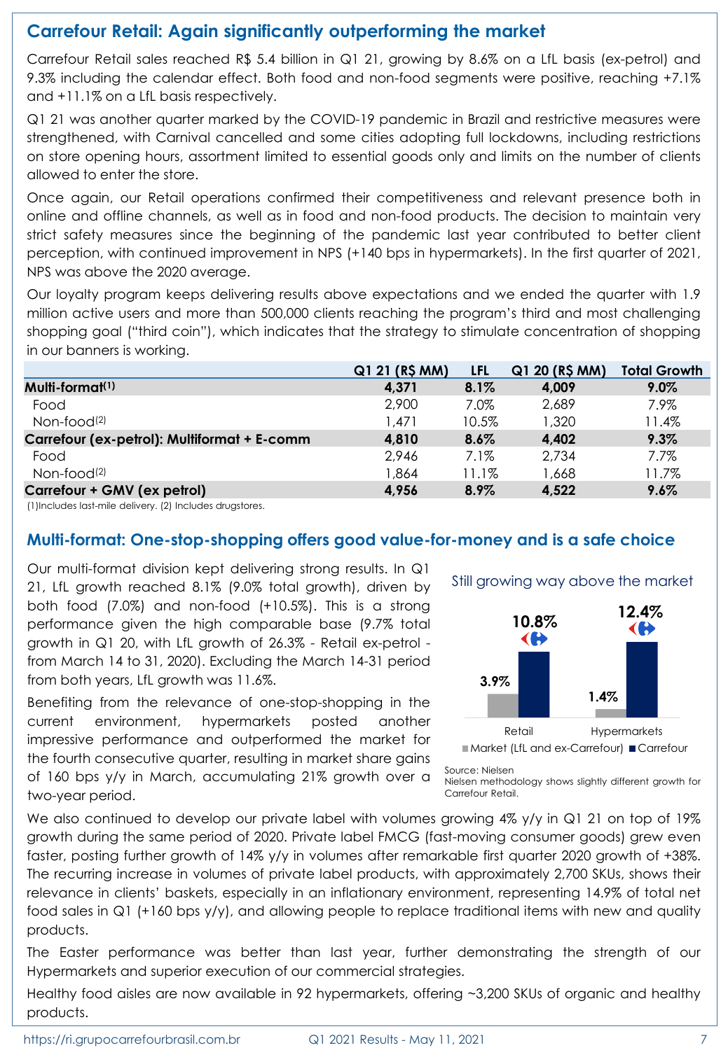# **Carrefour Retail: Again significantly outperforming the market**

Carrefour Retail sales reached R\$ 5.4 billion in Q1 21, growing by 8.6% on a LfL basis (ex-petrol) and 9.3% including the calendar effect. Both food and non-food segments were positive, reaching +7.1% and +11.1% on a LfL basis respectively.

Q1 21 was another quarter marked by the COVID-19 pandemic in Brazil and restrictive measures were strengthened, with Carnival cancelled and some cities adopting full lockdowns, including restrictions on store opening hours, assortment limited to essential goods only and limits on the number of clients allowed to enter the store.

Once again, our Retail operations confirmed their competitiveness and relevant presence both in online and offline channels, as well as in food and non-food products. The decision to maintain very strict safety measures since the beginning of the pandemic last year contributed to better client perception, with continued improvement in NPS (+140 bps in hypermarkets). In the first quarter of 2021, NPS was above the 2020 average.

Our loyalty program keeps delivering results above expectations and we ended the quarter with 1.9 million active users and more than 500,000 clients reaching the program's third and most challenging shopping goal ("third coin"), which indicates that the strategy to stimulate concentration of shopping in our banners is working.

|                                             | Q1 21 (R\$ MM) | LFL     | Q1 20 (R\$ MM) | <b>Total Growth</b> |
|---------------------------------------------|----------------|---------|----------------|---------------------|
| Multi-format <sup>(1)</sup>                 | 4.371          | $8.1\%$ | 4,009          | $9.0\%$             |
| Food                                        | 2,900          | 7.0%    | 2,689          | 7.9%                |
| Non-food <sup>(2)</sup>                     | 1.471          | 10.5%   | 1,320          | 11.4%               |
| Carrefour (ex-petrol): Multiformat + E-comm | 4,810          | $8.6\%$ | 4,402          | 9.3%                |
| Food                                        | 2,946          | 7.1%    | 2,734          | $7.7\%$             |
| Non-food <sup>(2)</sup>                     | 864, ا         | 11.1%   | 1,668          | 11.7%               |
| Carrefour + GMV (ex petrol)                 | 4,956          | 8.9%    | 4,522          | 9.6%                |

(1)Includes last-mile delivery. (2) Includes drugstores.

#### **Multi-format: One-stop-shopping offers good value-for-money and is a safe choice**

Our multi-format division kept delivering strong results. In Q1 21, LfL growth reached 8.1% (9.0% total growth), driven by both food (7.0%) and non-food (+10.5%). This is a strong performance given the high comparable base (9.7% total growth in Q1 20, with LfL growth of 26.3% - Retail ex-petrol from March 14 to 31, 2020). Excluding the March 14-31 period from both years, LfL growth was 11.6%.

Benefiting from the relevance of one-stop-shopping in the current environment, hypermarkets posted another impressive performance and outperformed the market for the fourth consecutive quarter, resulting in market share gains of 160 bps y/y in March, accumulating 21% growth over a two-year period.



Source: Nielsen

Nielsen methodology shows slightly different growth for Carrefour Retail.

We also continued to develop our private label with volumes growing 4% y/y in Q1 21 on top of 19% growth during the same period of 2020. Private label FMCG (fast-moving consumer goods) grew even faster, posting further growth of 14% y/y in volumes after remarkable first quarter 2020 growth of +38%. The recurring increase in volumes of private label products, with approximately 2,700 SKUs, shows their relevance in clients' baskets, especially in an inflationary environment, representing 14.9% of total net food sales in Q1 (+160 bps y/y), and allowing people to replace traditional items with new and quality products.

The Easter performance was better than last year, further demonstrating the strength of our Hypermarkets and superior execution of our commercial strategies.

Healthy food aisles are now available in 92 hypermarkets, offering ~3,200 SKUs of organic and healthy products.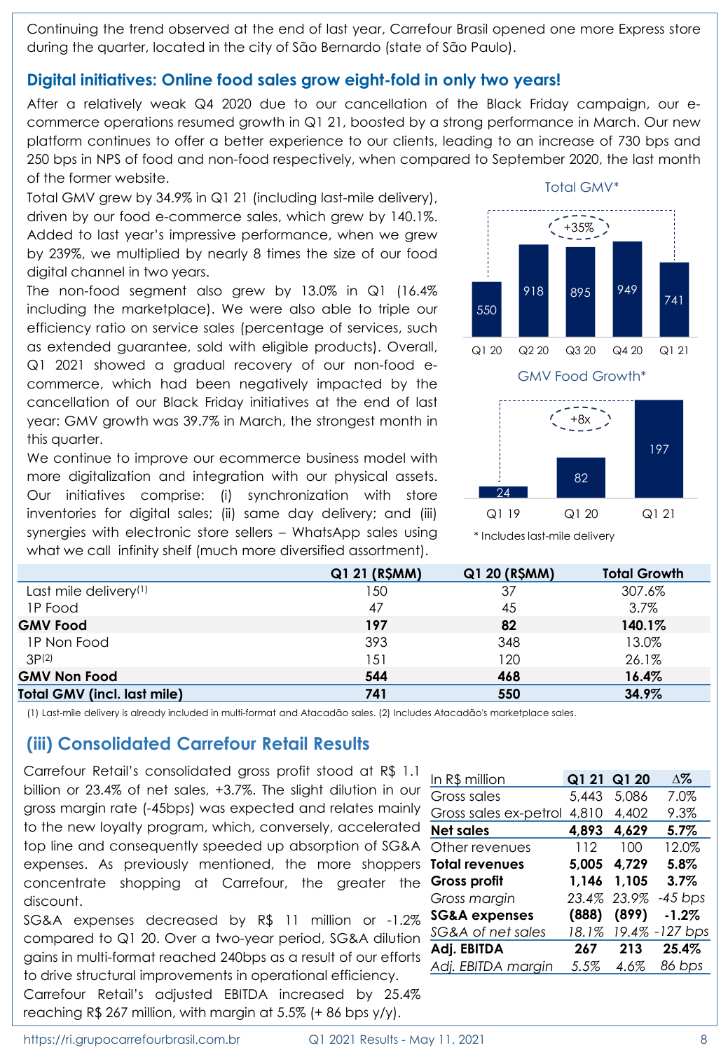Continuing the trend observed at the end of last year, Carrefour Brasil opened one more Express store during the quarter, located in the city of São Bernardo (state of São Paulo).

#### **Digital initiatives: Online food sales grow eight-fold in only two years!**

After a relatively weak Q4 2020 due to our cancellation of the Black Friday campaign, our ecommerce operations resumed growth in Q1 21, boosted by a strong performance in March. Our new platform continues to offer a better experience to our clients, leading to an increase of 730 bps and 250 bps in NPS of food and non-food respectively, when compared to September 2020, the last month of the former website.

Total GMV grew by 34.9% in Q1 21 (including last-mile delivery), driven by our food e-commerce sales, which grew by 140.1%. Added to last year's impressive performance, when we grew by 239%, we multiplied by nearly 8 times the size of our food digital channel in two years.

The non-food segment also grew by 13.0% in Q1 (16.4% including the marketplace). We were also able to triple our efficiency ratio on service sales (percentage of services, such as extended guarantee, sold with eligible products). Overall, Q1 2021 showed a gradual recovery of our non-food ecommerce, which had been negatively impacted by the cancellation of our Black Friday initiatives at the end of last year: GMV growth was 39.7% in March, the strongest month in this quarter.

We continue to improve our ecommerce business model with more digitalization and integration with our physical assets. Our initiatives comprise: (i) synchronization with store inventories for digital sales; (ii) same day delivery; and (iii) synergies with electronic store sellers – WhatsApp sales using what we call infinity shelf (much more diversified assortment).



\* Includes last-mile delivery

|                                   | Q1 21 (R\$MM) | Q1 20 (R\$MM) | <b>Total Growth</b> |
|-----------------------------------|---------------|---------------|---------------------|
| Last mile delivery <sup>(1)</sup> | 150           | 37            | 307.6%              |
| <b>IP Food</b>                    | 47            | 45            | $3.7\%$             |
| <b>GMV Food</b>                   | 197           | 82            | 140.1%              |
| <b>IP Non Food</b>                | 393           | 348           | 13.0%               |
| 3P(2)                             | 151           | 120           | 26.1%               |
| <b>GMV Non Food</b>               | 544           | 468           | 16.4%               |
| Total GMV (incl. last mile)       | 741           | 550           | 34.9%               |
|                                   |               |               |                     |

(1) Last-mile delivery is already included in multi-format and Atacadão sales. (2) Includes Atacadão's marketplace sales.

#### **(iii) Consolidated Carrefour Retail Results**

Carrefour Retail's consolidated gross profit stood at R\$ 1.1 billion or 23.4% of net sales, +3.7%. The slight dilution in our gross margin rate (-45bps) was expected and relates mainly to the new loyalty program, which, conversely, accelerated top line and consequently speeded up absorption of SG&A expenses. As previously mentioned, the more shoppers concentrate shopping at Carrefour, the greater the discount.

SG&A expenses decreased by R\$ 11 million or -1.2% compared to Q1 20. Over a two-year period, SG&A dilution gains in multi-format reached 240bps as a result of our efforts to drive structural improvements in operational efficiency.

Carrefour Retail's adjusted EBITDA increased by 25.4% reaching R\$ 267 million, with margin at 5.5% (+ 86 bps y/y).

| In R\$ million           | Q1 21 | Q1 20 | $\Delta\%$ |
|--------------------------|-------|-------|------------|
| Gross sales              | 5,443 | 5,086 | 7.0%       |
| Gross sales ex-petrol    | 4,810 | 4,402 | 9.3%       |
| <b>Net sales</b>         | 4,893 | 4,629 | 5.7%       |
| Other revenues           | 112   | 100   | 12.0%      |
| <b>Total revenues</b>    | 5,005 | 4,729 | 5.8%       |
| <b>Gross profit</b>      | 1.146 | 1,105 | 3.7%       |
| Gross margin             | 23.4% | 23.9% | $-45$ bps  |
| <b>SG&amp;A</b> expenses | (888) | (899) | $-1.2%$    |
| SG&A of net sales        | 18.1% | 19.4% | $-127$ bps |
| Adj. EBITDA              | 267   | 213   | 25.4%      |
| Adj. EBITDA margin       | 5.5%  | 4.6%  | 86 bps     |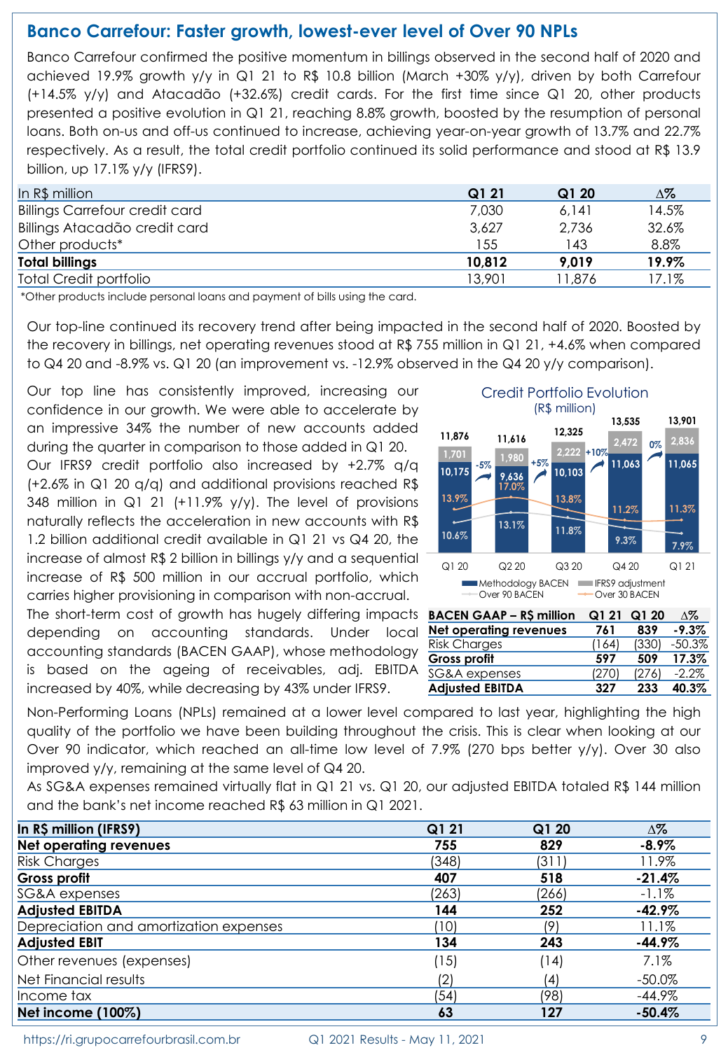## **Banco Carrefour: Faster growth, lowest-ever level of Over 90 NPLs**

Banco Carrefour confirmed the positive momentum in billings observed in the second half of 2020 and achieved 19.9% growth y/y in Q1 21 to R\$ 10.8 billion (March +30% y/y), driven by both Carrefour (+14.5% y/y) and Atacadão (+32.6%) credit cards. For the first time since Q1 20, other products presented a positive evolution in Q1 21, reaching 8.8% growth, boosted by the resumption of personal loans. Both on-us and off-us continued to increase, achieving year-on-year growth of 13.7% and 22.7% respectively. As a result, the total credit portfolio continued its solid performance and stood at R\$ 13.9 billion, up 17.1% y/y (IFRS9).

| In $R\$ million                       | Q121   | Q120    | Δ%    |
|---------------------------------------|--------|---------|-------|
| <b>Billings Carrefour credit card</b> | 7,030  | 6.141   | 14.5% |
| Billings Atacadão credit card         | 3,627  | 2,736   | 32.6% |
| Other products*                       | 155    | 143     | 8.8%  |
| <b>Total billings</b>                 | 10,812 | 9.019   | 19.9% |
| <b>Total Credit portfolio</b>         | 13,901 | ' 1,876 | 17.1% |

\*Other products include personal loans and payment of bills using the card.

Our top-line continued its recovery trend after being impacted in the second half of 2020. Boosted by the recovery in billings, net operating revenues stood at R\$ 755 million in Q1 21, +4.6% when compared to Q4 20 and -8.9% vs. Q1 20 (an improvement vs. -12.9% observed in the Q4 20 y/y comparison).

Our top line has consistently improved, increasing our confidence in our growth. We were able to accelerate by an impressive 34% the number of new accounts added during the quarter in comparison to those added in Q1 20. Our IFRS9 credit portfolio also increased by +2.7% q/q (+2.6% in Q1 20 q/q) and additional provisions reached R\$ 348 million in  $Q1$  21 (+11.9% y/y). The level of provisions naturally reflects the acceleration in new accounts with R\$ 1.2 billion additional credit available in Q1 21 vs Q4 20, the increase of almost R\$ 2 billion in billings y/y and a sequential increase of R\$ 500 million in our accrual portfolio, which carries higher provisioning in comparison with non-accrual.

The short-term cost of growth has hugely differing impacts depending on accounting standards. Under local accounting standards (BACEN GAAP), whose methodology is based on the ageing of receivables, adi. EBITDA increased by 40%, while decreasing by 43% under IFRS9.



**Gross profit 597 509 17.3%**

**2,472 2,836 11,876 11,616 12,325**

Credit Portfolio Evolution (R\$ million)

**+10%**

 $\begin{array}{|c|c|c|c|c|}\n\hline\n1,701 & 5\% & 1,980 & +5\% \n\end{array}$ 

**-5% +5%**

**11,063 11,065**

**0%**

**13,535 13,901**

| is based on the ageing of receivables, adj. EBITDA SG&A-expenses                                                                                                                                              |                        | (270) | (276) | $-2.2\%$ |
|---------------------------------------------------------------------------------------------------------------------------------------------------------------------------------------------------------------|------------------------|-------|-------|----------|
| increased by 40%, while decreasing by 43% under IFRS9.                                                                                                                                                        | <b>Adjusted EBITDA</b> | 327   | 233   | 40.3%    |
| Non-Performing Loans (NPLs) remained at a lower level compared to last year, highlighting the high<br>quality of the portfolio we have been building throughout the crisis. This is clear when looking at our |                        |       |       |          |
| Over 90 indicator, which reached an all-time low level of 7.9% (270 bps better y/y). Over 30 also                                                                                                             |                        |       |       |          |
| improved $y/y$ , remaining at the same level of $Q4$ 20.                                                                                                                                                      |                        |       |       |          |

As SG&A expenses remained virtually flat in Q1 21 vs. Q1 20, our adjusted EBITDA totaled R\$ 144 million and the bank's net income reached R\$ 63 million in Q1 2021.

| In R\$ million (IFRS9)                 | Q1 21 | Q1 20 | $\Delta\%$ |
|----------------------------------------|-------|-------|------------|
| <b>Net operating revenues</b>          | 755   | 829   | $-8.9\%$   |
| <b>Risk Charges</b>                    | (348) | (311) | 11.9%      |
| Gross profit                           | 407   | 518   | $-21.4%$   |
| SG&A expenses                          | (263) | (266) | $-1.1\%$   |
| <b>Adjusted EBITDA</b>                 | 144   | 252   | $-42.9%$   |
| Depreciation and amortization expenses | (10)  | (9)   | 11.1%      |
| <b>Adjusted EBIT</b>                   | 134   | 243   | $-44.9%$   |
| Other revenues (expenses)              | (15)  | (14)  | 7.1%       |
| Net Financial results                  | (2)   | (4)   | $-50.0\%$  |
| Income tax                             | (54)  | (98)  | $-44.9\%$  |
| Net income (100%)                      | 63    | 127   | $-50.4%$   |

https://ri.grupocarrefourbrasil.com.br Q1 2021 Results - May 11, 2021 9 9 9 9 9 9 9 9 9 9 9 9 9 9 9 9 9 9 1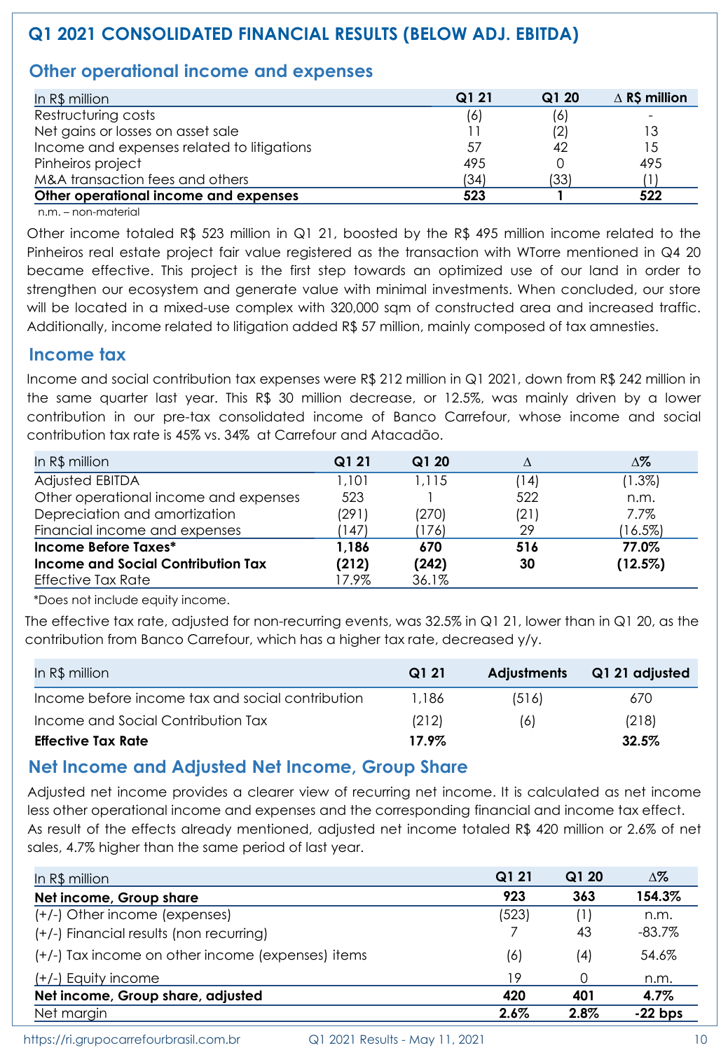# **Q1 2021 CONSOLIDATED FINANCIAL RESULTS (BELOW ADJ. EBITDA)**

# **Other operational income and expenses**

| In R\$ million                             | Q1 21 | Q120 | $\triangle$ R\$ million |
|--------------------------------------------|-------|------|-------------------------|
| Restructuring costs                        | (6)   | (6)  |                         |
| Net gains or losses on asset sale          |       |      | 13                      |
| Income and expenses related to litigations | 57    |      | 15                      |
| Pinheiros project                          | 495   |      | 495                     |
| M&A transaction fees and others            | (34)  | (33) |                         |
| Other operational income and expenses      | 523   |      | 522                     |

n.m. – non-material

Other income totaled R\$ 523 million in Q1 21, boosted by the R\$ 495 million income related to the Pinheiros real estate project fair value registered as the transaction with WTorre mentioned in Q4 20 became effective. This project is the first step towards an optimized use of our land in order to strengthen our ecosystem and generate value with minimal investments. When concluded, our store will be located in a mixed-use complex with 320,000 sqm of constructed area and increased traffic. Additionally, income related to litigation added R\$ 57 million, mainly composed of tax amnesties.

#### **Income tax**

Income and social contribution tax expenses were R\$ 212 million in Q1 2021, down from R\$ 242 million in the same quarter last year. This R\$ 30 million decrease, or 12.5%, was mainly driven by a lower contribution in our pre-tax consolidated income of Banco Carrefour, whose income and social contribution tax rate is 45% vs. 34% at Carrefour and Atacadão.

| In R\$ million                        | Q1 21 | Q1 20 |      | Δ%         |
|---------------------------------------|-------|-------|------|------------|
| Adjusted EBITDA                       | 1,101 | 1.115 | (14) | $(1.3\%)$  |
| Other operational income and expenses | 523   |       | 522  | n.m.       |
| Depreciation and amortization         | (291) | (270) | (21) | 7.7%       |
| Financial income and expenses         | 147)  | (176) | 29   | $(16.5\%)$ |
| Income Before Taxes*                  | 1,186 | 670   | 516  | 77.0%      |
| Income and Social Contribution Tax    | (212) | (242) | 30   | (12.5%)    |
| Effective Tax Rate                    | 17.9% | 36.1% |      |            |

\*Does not include equity income.

The effective tax rate, adjusted for non-recurring events, was 32.5% in Q1 21, lower than in Q1 20, as the contribution from Banco Carrefour, which has a higher tax rate, decreased y/y.

| In $R\$ million                                  | Q1 21 | <b>Adjustments</b> | Q1 21 adjusted |
|--------------------------------------------------|-------|--------------------|----------------|
| Income before income tax and social contribution | 1.186 | (516)              | 670            |
| Income and Social Contribution Tax               | (212) | (6)                | (218)          |
| <b>Effective Tax Rate</b>                        | 17.9% |                    | 32.5%          |

### **Net Income and Adjusted Net Income, Group Share**

Adjusted net income provides a clearer view of recurring net income. It is calculated as net income less other operational income and expenses and the corresponding financial and income tax effect. As result of the effects already mentioned, adjusted net income totaled R\$ 420 million or 2.6% of net sales, 4.7% higher than the same period of last year.

| In R\$ million                                    | Q1 21 | Q120 | Δ%        |
|---------------------------------------------------|-------|------|-----------|
| Net income, Group share                           | 923   | 363  | 154.3%    |
| (+/-) Other income (expenses)                     | (523) | (1)  | n.m.      |
| (+/-) Financial results (non recurring)           |       | 43   | $-83.7\%$ |
| (+/-) Tax income on other income (expenses) items | (6)   | (4)  | 54.6%     |
| $(+/-)$ Equity income                             | 19    | 0    | n.m.      |
| Net income, Group share, adjusted                 | 420   | 401  | 4.7%      |
| Net margin                                        | 2.6%  | 2.8% | $-22$ bps |

https://ri.grupocarrefourbrasil.com.br Q1 2021 Results - May 11, 2021 10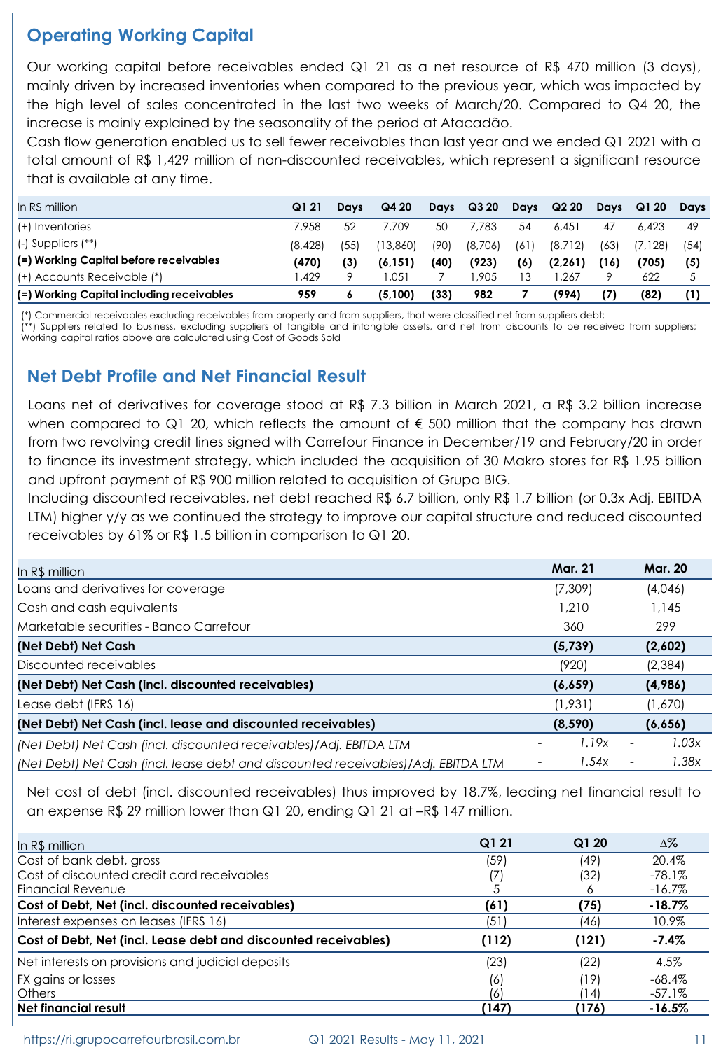# **Operating Working Capital**

Our working capital before receivables ended Q1 21 as a net resource of R\$ 470 million (3 days), mainly driven by increased inventories when compared to the previous year, which was impacted by the high level of sales concentrated in the last two weeks of March/20. Compared to Q4 20, the increase is mainly explained by the seasonality of the period at Atacadão.

Cash flow generation enabled us to sell fewer receivables than last year and we ended Q1 2021 with a total amount of R\$ 1,429 million of non-discounted receivables, which represent a significant resource that is available at any time.

| In R\$ million                            | Q121    | Davs | Q4 20    | Davs | Q320    | Days | Q220     | Davs | Q1 20   | Davs |
|-------------------------------------------|---------|------|----------|------|---------|------|----------|------|---------|------|
| (+) Inventories                           | 7.958   | 52   | 7.709    | 50   | 7.783   | 54   | 6.451    | 47   | 6.423   | 49   |
| $(-)$ Suppliers $(**)$                    | (8.428) | (55) | (13.860) | (90) | (8,706) | (61) | (8,712)  | (63) | (7.128) | (54) |
| (=) Working Capital before receivables    | (470)   | (3)  | (6.151)  | (40) | (923)   | (6)  | (2, 261) | (16) | (705)   | (5)  |
| (+) Accounts Receivable (*)               | 1.429   |      | 051. ا   |      | 1.905   |      | .267     |      | 622     |      |
| (=) Working Capital including receivables | 959     |      | (5.100)  | (33) | 982     |      | (994)    | (7)  | (82)    |      |

(\*) Commercial receivables excluding receivables from property and from suppliers, that were classified net from suppliers debt;

(\*\*) Suppliers related to business, excluding suppliers of tangible and intangible assets, and net from discounts to be received from suppliers; Working capital ratios above are calculated using Cost of Goods Sold

# **Net Debt Profile and Net Financial Result**

Loans net of derivatives for coverage stood at R\$ 7.3 billion in March 2021, a R\$ 3.2 billion increase when compared to Q1 20, which reflects the amount of  $\epsilon$  500 million that the company has drawn from two revolving credit lines signed with Carrefour Finance in December/19 and February/20 in order to finance its investment strategy, which included the acquisition of 30 Makro stores for R\$ 1.95 billion and upfront payment of R\$ 900 million related to acquisition of Grupo BIG.

Including discounted receivables, net debt reached R\$ 6.7 billion, only R\$ 1.7 billion (or 0.3x Adj. EBITDA LTM) higher y/y as we continued the strategy to improve our capital structure and reduced discounted receivables by 61% or R\$ 1.5 billion in comparison to Q1 20.

| In R\$ million                                                                    | <b>Mar. 21</b> | <b>Mar. 20</b>                    |
|-----------------------------------------------------------------------------------|----------------|-----------------------------------|
| Loans and derivatives for coverage                                                | (7,309)        | (4,046)                           |
| Cash and cash equivalents                                                         | 1,210          | 1.145                             |
| Marketable securities - Banco Carrefour                                           | 360            | 299                               |
| (Net Debt) Net Cash                                                               | (5,739)        | (2,602)                           |
| Discounted receivables                                                            | (920)          | (2,384)                           |
| (Net Debt) Net Cash (incl. discounted receivables)                                | (6,659)        | (4,986)                           |
| Lease debt (IFRS 16)                                                              | (1,931)        | (1,670)                           |
| (Net Debt) Net Cash (incl. lease and discounted receivables)                      | (8, 590)       | (6,656)                           |
| (Net Debt) Net Cash (incl. discounted receivables)/Adj. EBITDA LTM                | 1.19x          | 1.03x<br>$\overline{\phantom{0}}$ |
| (Net Debt) Net Cash (incl. lease debt and discounted receivables)/Adj. EBITDA LTM | 1.54x          | 1.38x<br>$\overline{\phantom{a}}$ |

Net cost of debt (incl. discounted receivables) thus improved by 18.7%, leading net financial result to an expense R\$ 29 million lower than Q1 20, ending Q1 21 at –R\$ 147 million.

| In $R\$ million                                                 | Q1 21 | Q1 20 | $\Delta\%$ |
|-----------------------------------------------------------------|-------|-------|------------|
| Cost of bank debt, gross                                        | (59)  | (49)  | 20.4%      |
| Cost of discounted credit card receivables                      |       | (32)  | $-78.1\%$  |
| <b>Financial Revenue</b>                                        |       | Ô     | $-16.7\%$  |
| Cost of Debt, Net (incl. discounted receivables)                | (61)  | (75)  | $-18.7%$   |
| Interest expenses on leases (IFRS 16)                           | (51)  | (46)  | 10.9%      |
| Cost of Debt, Net (incl. Lease debt and discounted receivables) | (112) | (121) | $-7.4%$    |
| Net interests on provisions and judicial deposits               | (23)  | (22)  | 4.5%       |
| FX gains or losses                                              | (6)   | (19   | $-68.4\%$  |
| <b>Others</b>                                                   | (6)   | 14)   | $-57.1\%$  |
| <b>Net financial result</b>                                     | (147) | (176) | $-16.5%$   |

https://ri.grupocarrefourbrasil.com.br Q1 2021 Results - May 11, 2021 11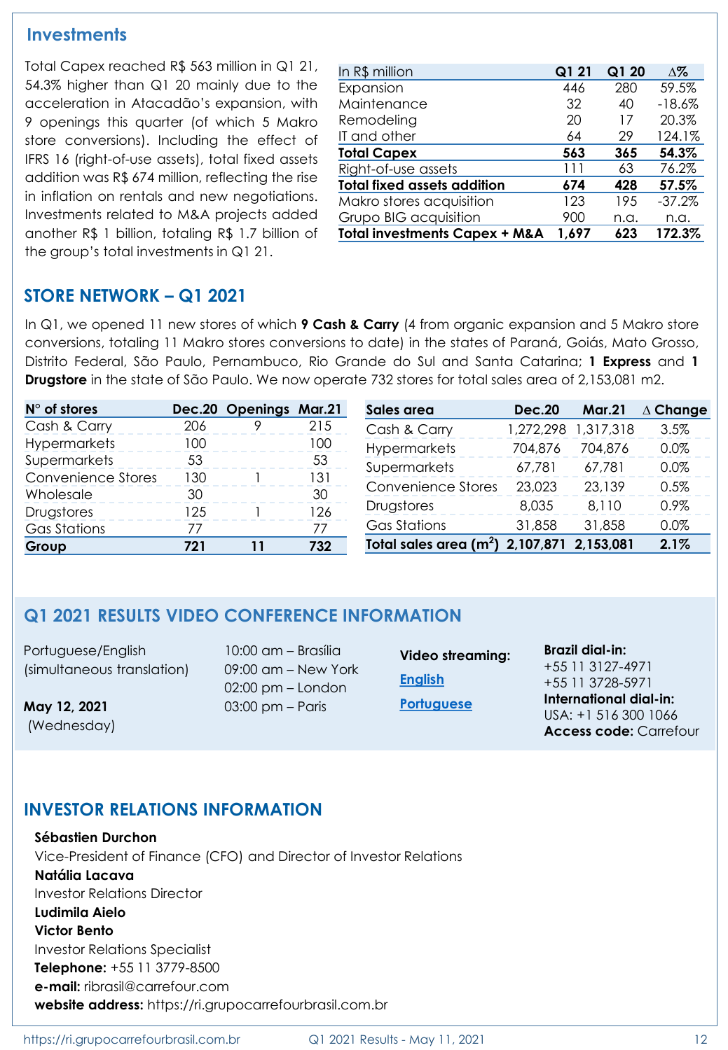#### **Investments**

Total Capex reached R\$ 563 million in Q1 21, 54.3% higher than Q1 20 mainly due to the acceleration in Atacadão's expansion, with 9 openings this quarter (of which 5 Makro store conversions). Including the effect of IFRS 16 (right-of-use assets), total fixed assets addition was R\$ 674 million, reflecting the rise in inflation on rentals and new negotiations. Investments related to M&A projects added another R\$ 1 billion, totaling R\$ 1.7 billion of the group's total investments in Q1 21.

| In R\$ million                           | Q1 21 | Q1 20 | $\Delta\%$ |
|------------------------------------------|-------|-------|------------|
| Expansion                                | 446   | 280   | 59.5%      |
| Maintenance                              | 32    | 40    | $-18.6%$   |
| Remodeling                               | 20    | 17    | 20.3%      |
| IT and other                             | 64    | 29    | 124.1%     |
| <b>Total Capex</b>                       | 563   | 365   | 54.3%      |
| Right-of-use assets                      | 111   | 63    | 76.2%      |
| <b>Total fixed assets addition</b>       | 674   | 428   | 57.5%      |
| Makro stores acquisition                 | 123   | 195   | $-37.2%$   |
| Grupo BIG acquisition                    | 900   | n.a.  | n.a.       |
| <b>Total investments Capex + M&amp;A</b> | 1,697 | 623   | 172.3%     |

## **STORE NETWORK – Q1 2021**

In Q1, we opened 11 new stores of which **9 Cash & Carry** (4 from organic expansion and 5 Makro store conversions, totaling 11 Makro stores conversions to date) in the states of Paraná, Goiás, Mato Grosso, Distrito Federal, São Paulo, Pernambuco, Rio Grande do Sul and Santa Catarina; **1 Express** and **1 Drugstore** in the state of São Paulo. We now operate 732 stores for total sales area of 2,153,081 m2.

| $N^{\circ}$ of stores     |     | Dec.20 Openings Mar.21 |     | Sales area                                             | <b>Dec.20</b> | <b>Mar.21</b> | $\Delta$ Change |
|---------------------------|-----|------------------------|-----|--------------------------------------------------------|---------------|---------------|-----------------|
| Cash & Carry              | 206 |                        | 215 | Cash & Carry                                           | 1,272,298     | 1,317,318     | 3.5%            |
| <b>Hypermarkets</b>       | 100 |                        | 100 | <b>Hypermarkets</b>                                    | 704,876       | 704,876       | 0.0%            |
| Supermarkets              | 53  |                        | 53  | Supermarkets                                           | 67.781        | 67.781        | 0.0%            |
| <b>Convenience Stores</b> | 130 |                        | 131 | Convenience Stores                                     | 23,023        | 23,139        | 0.5%            |
| Wholesale                 | 30  |                        | 30  |                                                        |               |               |                 |
| Drugstores                | 125 |                        | 126 | Drugstores                                             | 8,035         | 8.110         | 0.9%            |
| Gas Stations              | 77  |                        | 77  | <b>Gas Stations</b>                                    | 31,858        | 31,858        | 0.0%            |
| Group                     | 721 | 11                     | 732 | Total sales area (m <sup>2</sup> ) 2,107,871 2,153,081 |               |               | 2.1%            |

### **Q1 2021 RESULTS VIDEO CONFERENCE INFORMATION**

Portuguese/English (simultaneous translation)

**May 12, 2021** (Wednesday)

10:00 am – Brasília 09:00 am – New York 02:00 pm – London 03:00 pm – Paris

**Video streaming: [English](https://vcasting.voitel.com.br/?transmissionId=9106) [Portuguese](https://vcasting.voitel.com.br/?transmissionId=9082)**

**Brazil dial-in:** +55 11 3127-4971 +55 11 3728-5971 **International dial-in:** USA: +1 516 300 1066 **Access code:** Carrefour

### **INVESTOR RELATIONS INFORMATION**

**Sébastien Durchon** Vice-President of Finance (CFO) and Director of Investor Relations **Natália Lacava** Investor Relations Director **Ludimila Aielo Victor Bento** Investor Relations Specialist **Telephone:** +55 11 3779-8500 **e-mail:** ribrasil@carrefour.com **website address:** https://ri.grupocarrefourbrasil.com.br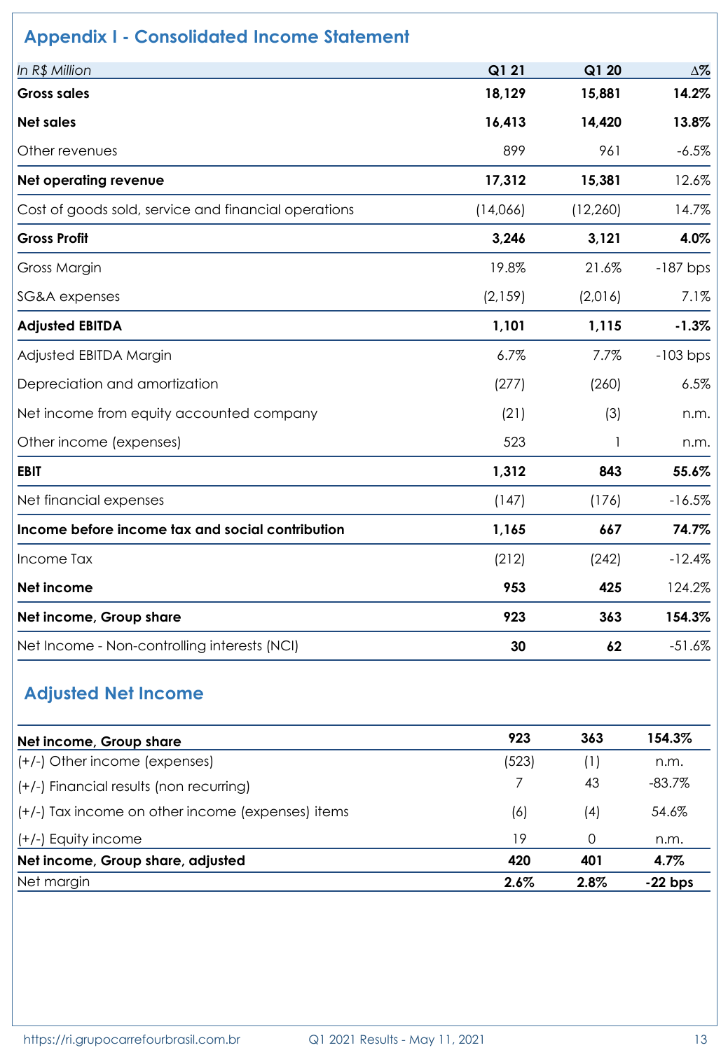| In R\$ Million                                       | Q1 21    | Q1 20     | $\Delta\%$ |
|------------------------------------------------------|----------|-----------|------------|
| <b>Gross sales</b>                                   | 18,129   | 15,881    | 14.2%      |
| <b>Net sales</b>                                     | 16,413   | 14,420    | 13.8%      |
| Other revenues                                       | 899      | 961       | $-6.5%$    |
| Net operating revenue                                | 17,312   | 15,381    | 12.6%      |
| Cost of goods sold, service and financial operations | (14,066) | (12, 260) | 14.7%      |
| <b>Gross Profit</b>                                  | 3,246    | 3,121     | 4.0%       |
| Gross Margin                                         | 19.8%    | 21.6%     | $-187$ bps |
| <b>SG&amp;A</b> expenses                             | (2, 159) | (2,016)   | 7.1%       |
| <b>Adjusted EBITDA</b>                               | 1,101    | 1,115     | $-1.3%$    |
| Adjusted EBITDA Margin                               | 6.7%     | 7.7%      | $-103$ bps |
| Depreciation and amortization                        | (277)    | (260)     | 6.5%       |
| Net income from equity accounted company             | (21)     | (3)       | n.m.       |
| Other income (expenses)                              | 523      | -1        | n.m.       |
| <b>EBIT</b>                                          | 1,312    | 843       | 55.6%      |
| Net financial expenses                               | (147)    | (176)     | $-16.5%$   |
| Income before income tax and social contribution     | 1,165    | 667       | 74.7%      |
| Income Tax                                           | (212)    | (242)     | $-12.4%$   |
| Net income                                           | 953      | 425       | 124.2%     |
| Net income, Group share                              | 923      | 363       | 154.3%     |
| Net Income - Non-controlling interests (NCI)         | 30       | 62        | $-51.6%$   |

| Net income, Group share                           | 923     | 363      | 154.3%    |
|---------------------------------------------------|---------|----------|-----------|
| (+/-) Other income (expenses)                     | (523)   | (1)      | n.m.      |
| (+/-) Financial results (non recurring)           |         | 43       | $-83.7%$  |
| (+/-) Tax income on other income (expenses) items | (6)     | (4)      | 54.6%     |
| (+/-) Equity income                               | 19      | $\Omega$ | n.m.      |
| Net income, Group share, adjusted                 | 420     | 401      | 4.7%      |
| Net margin                                        | $2.6\%$ | 2.8%     | $-22$ bps |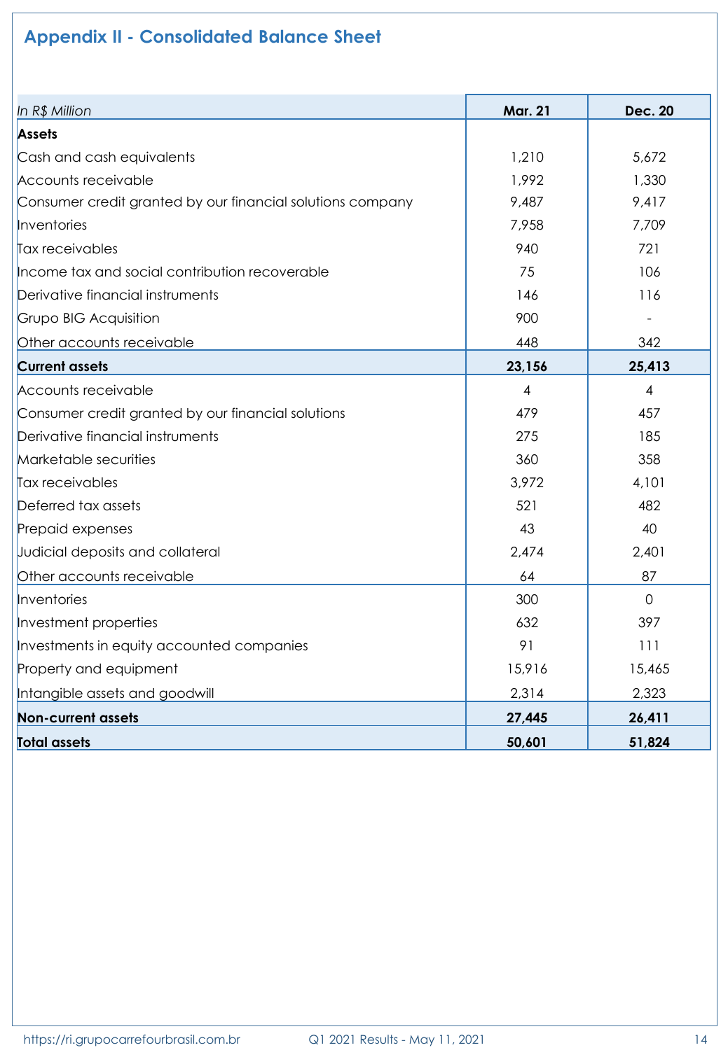# **Appendix II - Consolidated Balance Sheet**

| In R\$ Million                                             | <b>Mar. 21</b> | <b>Dec. 20</b> |
|------------------------------------------------------------|----------------|----------------|
| <b>Assets</b>                                              |                |                |
| Cash and cash equivalents                                  | 1,210          | 5,672          |
| Accounts receivable                                        | 1,992          | 1,330          |
| Consumer credit granted by our financial solutions company | 9,487          | 9,417          |
| Inventories                                                | 7,958          | 7,709          |
| Tax receivables                                            | 940            | 721            |
| Income tax and social contribution recoverable             | 75             | 106            |
| Derivative financial instruments                           | 146            | 116            |
| Grupo BIG Acquisition                                      | 900            |                |
| Other accounts receivable                                  | 448            | 342            |
| <b>Current assets</b>                                      | 23,156         | 25,413         |
| Accounts receivable                                        | $\overline{4}$ | $\overline{4}$ |
| Consumer credit granted by our financial solutions         | 479            | 457            |
| Derivative financial instruments                           | 275            | 185            |
| Marketable securities                                      | 360            | 358            |
| Tax receivables                                            | 3,972          | 4,101          |
| Deferred tax assets                                        | 521            | 482            |
| Prepaid expenses                                           | 43             | 40             |
| Judicial deposits and collateral                           | 2,474          | 2,401          |
| Other accounts receivable                                  | 64             | 87             |
| Inventories                                                | 300            | $\mathbf{O}$   |
| Investment properties                                      | 632            | 397            |
| Investments in equity accounted companies                  | 91             | 111            |
| Property and equipment                                     | 15,916         | 15,465         |
| Intangible assets and goodwill                             | 2,314          | 2,323          |
| <b>Non-current assets</b>                                  | 27,445         | 26,411         |
| Total assets                                               | 50,601         | 51,824         |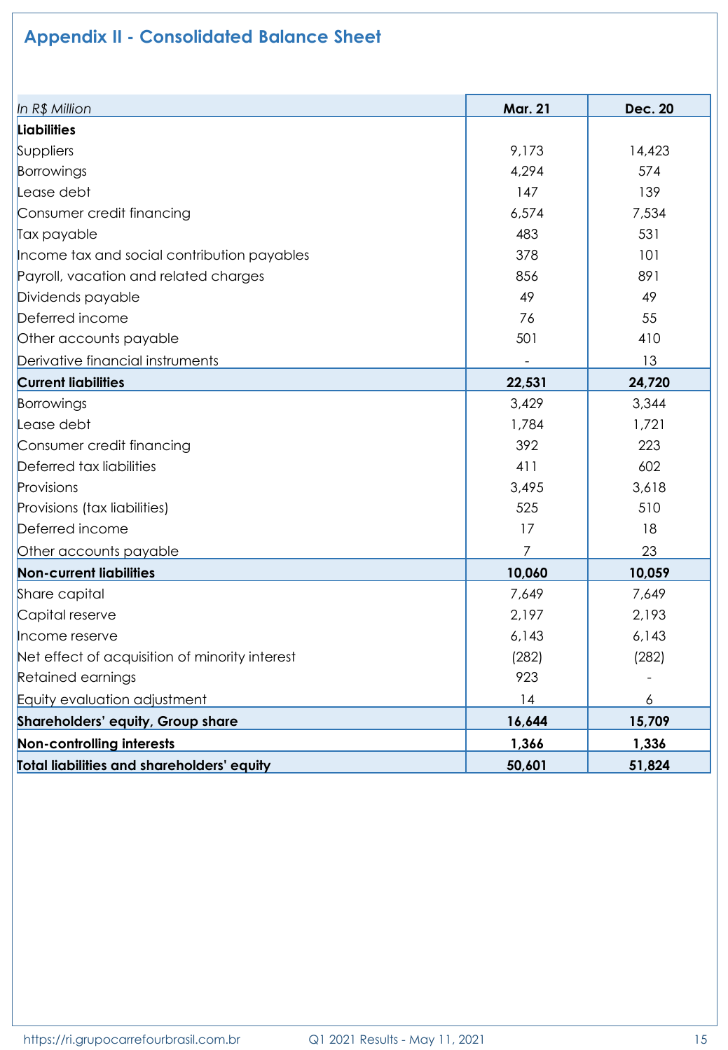# **Appendix II - Consolidated Balance Sheet**

| In R\$ Million                                 | <b>Mar. 21</b> | <b>Dec. 20</b> |
|------------------------------------------------|----------------|----------------|
| Liabilities                                    |                |                |
| Suppliers                                      | 9,173          | 14,423         |
| Borrowings                                     | 4,294          | 574            |
| Lease debt                                     | 147            | 139            |
| Consumer credit financing                      | 6,574          | 7,534          |
| Tax payable                                    | 483            | 531            |
| Income tax and social contribution payables    | 378            | 101            |
| Payroll, vacation and related charges          | 856            | 891            |
| Dividends payable                              | 49             | 49             |
| Deferred income                                | 76             | 55             |
| Other accounts payable                         | 501            | 410            |
| Derivative financial instruments               |                | 13             |
| <b>Current liabilities</b>                     | 22,531         | 24,720         |
| Borrowings                                     | 3,429          | 3,344          |
| Lease debt                                     | 1,784          | 1,721          |
| Consumer credit financing                      | 392            | 223            |
| Deferred tax liabilities                       | 411            | 602            |
| Provisions                                     | 3,495          | 3,618          |
| Provisions (tax liabilities)                   | 525            | 510            |
| Deferred income                                | 17             | 18             |
| Other accounts payable                         | 7              | 23             |
| <b>Non-current liabilities</b>                 | 10,060         | 10,059         |
| Share capital                                  | 7,649          | 7,649          |
| Capital reserve                                | 2,197          | 2,193          |
| Income reserve                                 | 6,143          | 6,143          |
| Net effect of acquisition of minority interest | (282)          | (282)          |
| Retained earnings                              | 923            |                |
| Equity evaluation adjustment                   | 14             | 6              |
| Shareholders' equity, Group share              | 16,644         | 15,709         |
| Non-controlling interests                      | 1,366          | 1,336          |
| Total liabilities and shareholders' equity     | 50,601         | 51,824         |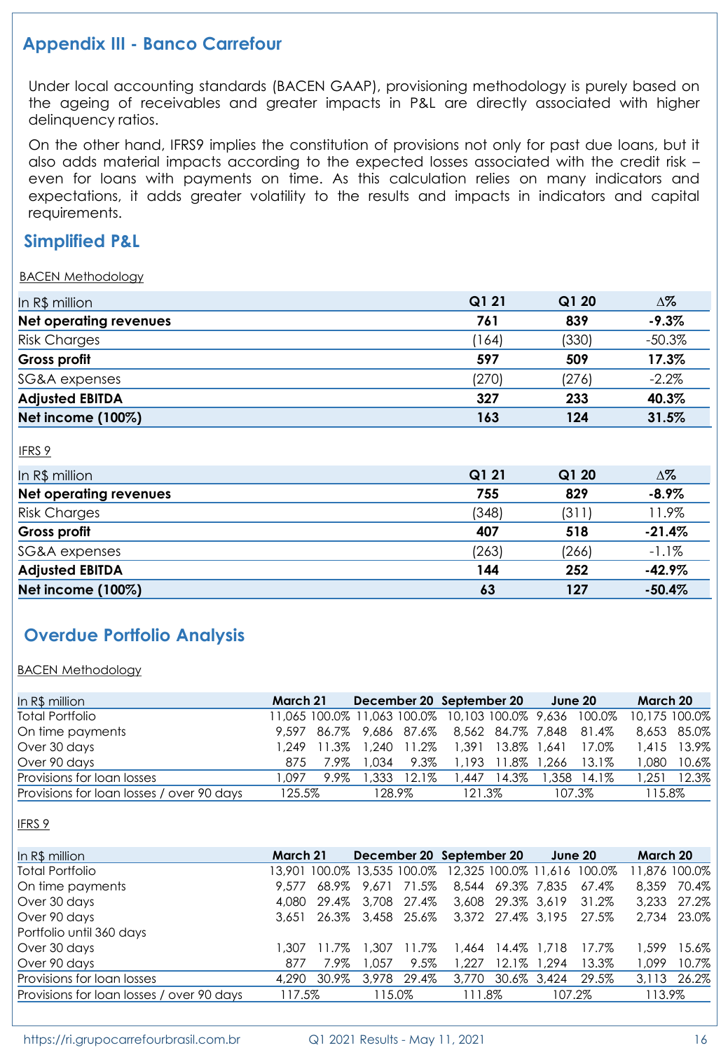### **Appendix III - Banco Carrefour**

Under local accounting standards (BACEN GAAP), provisioning methodology is purely based on the ageing of receivables and greater impacts in P&L are directly associated with higher delinquency ratios.

On the other hand, IFRS9 implies the constitution of provisions not only for past due loans, but it also adds material impacts according to the expected losses associated with the credit risk – even for loans with payments on time. As this calculation relies on many indicators and expectations, it adds greater volatility to the results and impacts in indicators and capital requirements.

#### **Simplified P&L**

#### BACEN Methodology

| In R\$ million                | Q1 21 | Q1 20 | $\Delta\%$ |
|-------------------------------|-------|-------|------------|
| <b>Net operating revenues</b> | 761   | 839   | $-9.3%$    |
| <b>Risk Charges</b>           | 164   | (330) | $-50.3%$   |
| Gross profit                  | 597   | 509   | 17.3%      |
| SG&A expenses                 | (270) | (276) | $-2.2%$    |
| <b>Adjusted EBITDA</b>        | 327   | 233   | 40.3%      |
| Net income (100%)             | 163   | 124   | 31.5%      |

IFRS 9

| In R\$ million                | Q1 21 | Q120  | Δ%       |  |
|-------------------------------|-------|-------|----------|--|
| <b>Net operating revenues</b> | 755   | 829   | $-8.9%$  |  |
| <b>Risk Charges</b>           | (348) | (311) | 11.9%    |  |
| Gross profit                  | 407   | 518   | $-21.4%$ |  |
| SG&A expenses                 | (263) | (266) | $-1.1%$  |  |
| <b>Adjusted EBITDA</b>        | 144   | 252   | $-42.9%$ |  |
| Net income (100%)             | 63    | 127   | $-50.4%$ |  |

# **Overdue Portfolio Analysis**

BACEN Methodology

| In R\$ million                            | March 21 |      |        |          | December 20 September 20                               |                   | June 20 |             | March 20 |               |
|-------------------------------------------|----------|------|--------|----------|--------------------------------------------------------|-------------------|---------|-------------|----------|---------------|
| <b>Total Portfolio</b>                    |          |      |        |          | 11,065 100.0% 11,063 100.0% 10,103 100.0% 9,636 100.0% |                   |         |             |          | 10.175 100.0% |
| On time payments                          |          |      |        |          | 9,597 86.7% 9,686 87.6% 8,562 84.7% 7,848 81.4%        |                   |         |             |          | 8.653 85.0%   |
| Over 30 days                              |          |      |        |          | 1.249 11.3% 1.240 11.2% 1.391 13.8% 1.641              |                   |         | 17.0%       |          | 1.415 13.9%   |
| Over 90 days                              | 875      | 7.9% | .034 ا | 9.3%     |                                                        | 1,193 11.8% 1,266 |         | 13.1%       | 1.080    | 10.6%         |
| Provisions for loan losses                | .097     | 9.9% | .333   | $12.1\%$ | 1,447                                                  | 14.3%             |         | 1.358 14.1% | 1.251    | 12.3%         |
| Provisions for loan losses / over 90 days | 125.5%   |      | 128.9% |          | 121.3%                                                 |                   | 107.3%  |             | 115.8%   |               |

IFRS 9

| In R\$ million                            | March 21 |             |        |             | December 20 September 20                                |                   | June 20     |       | March 20      |       |
|-------------------------------------------|----------|-------------|--------|-------------|---------------------------------------------------------|-------------------|-------------|-------|---------------|-------|
| <b>Total Portfolio</b>                    |          |             |        |             | 13,901 100.0% 13,535 100.0% 12,325 100.0% 11,616 100.0% |                   |             |       | 11.876 100.0% |       |
| On time payments                          | 9.577    | 68.9%       | 9.671  | 71.5%       |                                                         | 8.544 69.3% 7.835 |             | 67.4% | 8,359         | 70.4% |
| Over 30 days                              | 4.080    | 29.4%       |        | 3.708 27.4% |                                                         | 3,608 29.3% 3,619 |             | 31.2% | 3.233         | 27.2% |
| Over 90 days                              |          | 3.651 26.3% |        | 3.458 25.6% |                                                         | 3,372 27.4% 3,195 |             | 27.5% | 2.734         | 23.0% |
| Portfolio until 360 days                  |          |             |        |             |                                                         |                   |             |       |               |       |
| Over 30 days                              | l .307   | 11.7%       | 307. ا | 11.7%       | .464                                                    |                   | 14.4% 1.718 | 17.7% | 1.599         | 15.6% |
| Over 90 days                              | 877      | 7.9%        | .057   | 9.5%        | .227                                                    | $12.1\%$          | .294        | 13.3% | 1.099         | 10.7% |
| Provisions for loan losses                | 4,290    | 30.9%       | 3,978  | 29.4%       | 3,770                                                   | 30.6% 3.424       |             | 29.5% | 3.113         | 26.2% |
| Provisions for loan losses / over 90 days | 117.5%   |             | 115.0% |             | 111.8%                                                  |                   | 107.2%      |       | 113.9%        |       |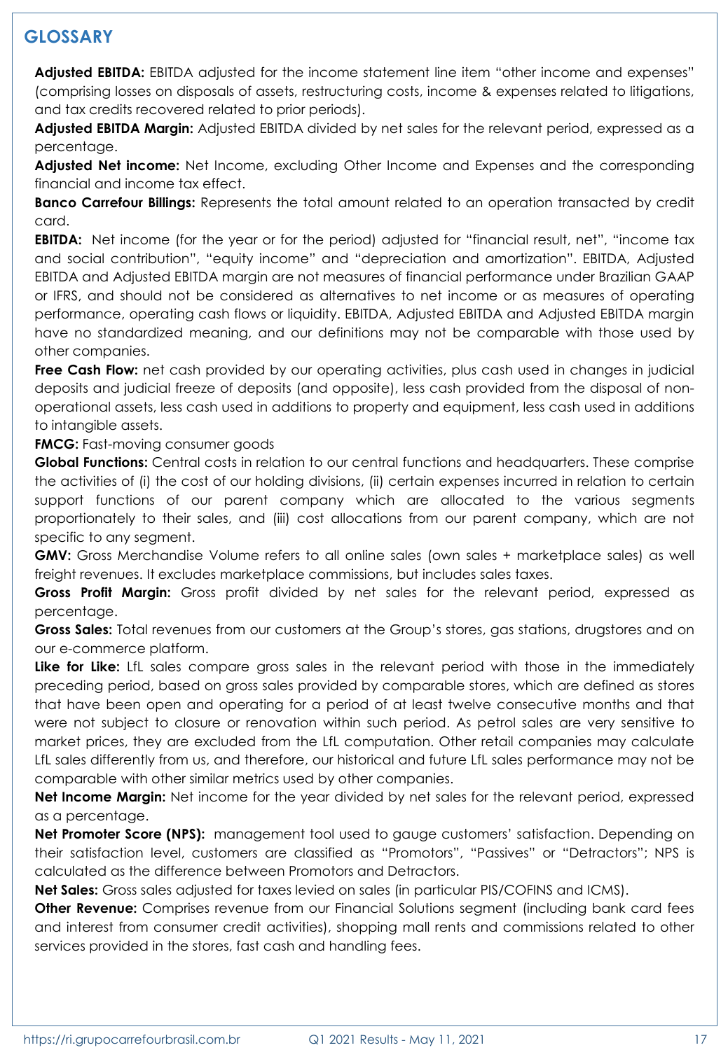# **GLOSSARY**

**Adjusted EBITDA:** EBITDA adjusted for the income statement line item "other income and expenses" (comprising losses on disposals of assets, restructuring costs, income & expenses related to litigations, and tax credits recovered related to prior periods).

**Adjusted EBITDA Margin:** Adjusted EBITDA divided by net sales for the relevant period, expressed as a percentage.

**Adjusted Net income:** Net Income, excluding Other Income and Expenses and the corresponding financial and income tax effect.

**Banco Carrefour Billings:** Represents the total amount related to an operation transacted by credit card.

**EBITDA:** Net income (for the year or for the period) adjusted for "financial result, net", "income tax and social contribution", "equity income" and "depreciation and amortization". EBITDA, Adjusted EBITDA and Adjusted EBITDA margin are not measures of financial performance under Brazilian GAAP or IFRS, and should not be considered as alternatives to net income or as measures of operating performance, operating cash flows or liquidity. EBITDA, Adjusted EBITDA and Adjusted EBITDA margin have no standardized meaning, and our definitions may not be comparable with those used by other companies.

**Free Cash Flow:** net cash provided by our operating activities, plus cash used in changes in judicial deposits and judicial freeze of deposits (and opposite), less cash provided from the disposal of nonoperational assets, less cash used in additions to property and equipment, less cash used in additions to intangible assets.

**FMCG:** Fast-moving consumer goods

**Global Functions:** Central costs in relation to our central functions and headquarters. These comprise the activities of (i) the cost of our holding divisions, (ii) certain expenses incurred in relation to certain support functions of our parent company which are allocated to the various segments proportionately to their sales, and (iii) cost allocations from our parent company, which are not specific to any segment.

**GMV:** Gross Merchandise Volume refers to all online sales (own sales + marketplace sales) as well freight revenues. It excludes marketplace commissions, but includes sales taxes.

**Gross Profit Margin:** Gross profit divided by net sales for the relevant period, expressed as percentage.

**Gross Sales:** Total revenues from our customers at the Group's stores, gas stations, drugstores and on our e-commerce platform.

**Like for Like:** LfL sales compare gross sales in the relevant period with those in the immediately preceding period, based on gross sales provided by comparable stores, which are defined as stores that have been open and operating for a period of at least twelve consecutive months and that were not subject to closure or renovation within such period. As petrol sales are very sensitive to market prices, they are excluded from the LfL computation. Other retail companies may calculate LfL sales differently from us, and therefore, our historical and future LfL sales performance may not be comparable with other similar metrics used by other companies.

**Net Income Margin:** Net income for the year divided by net sales for the relevant period, expressed as a percentage.

**Net Promoter Score (NPS):** management tool used to gauge customers' satisfaction. Depending on their satisfaction level, customers are classified as "Promotors", "Passives" or "Detractors"; NPS is calculated as the difference between Promotors and Detractors.

**Net Sales:** Gross sales adjusted for taxes levied on sales (in particular PIS/COFINS and ICMS).

**Other Revenue:** Comprises revenue from our Financial Solutions segment (including bank card fees and interest from consumer credit activities), shopping mall rents and commissions related to other services provided in the stores, fast cash and handling fees.